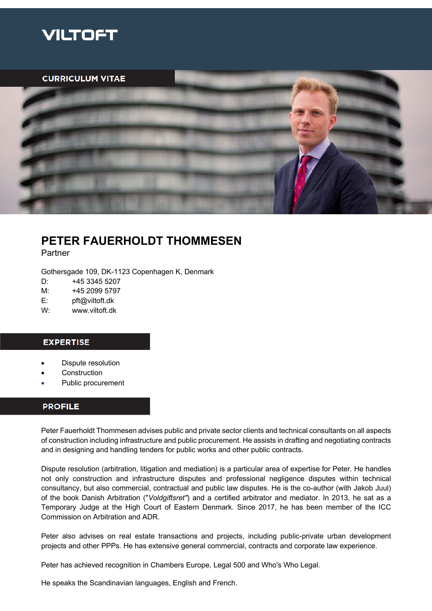

**CURRICULUM VITAE** 



# **PETER FAUERHOLDT THOMMESEN**

Partner

Gothersgade 109, DK-1123 Copenhagen K, Denmark

D: +45 3345 5207

M: +45 2099 5797

E: pft@viltoft.dk

W: www.viltoft.dk

# **EXPERTISE**

- Dispute resolution
- **Construction**
- Public procurement

### **PROFILE**

Peter Fauerholdt Thommesen advises public and private sector clients and technical consultants on all aspects of construction including infrastructure and public procurement. He assists in drafting and negotiating contracts and in designing and handling tenders for public works and other public contracts.

Dispute resolution (arbitration, litigation and mediation) is a particular area of expertise for Peter. He handles not only construction and infrastructure disputes and professional negligence disputes within technical consultancy, but also commercial, contractual and public law disputes. He is the co-author (with Jakob Juul) of the book Danish Arbitration ("*Voldgiftsret"*) and a certified arbitrator and mediator. In 2013, he sat as a Temporary Judge at the High Court of Eastern Denmark. Since 2017, he has been member of the ICC Commission on Arbitration and ADR.

Peter also advises on real estate transactions and projects, including public-private urban development projects and other PPPs. He has extensive general commercial, contracts and corporate law experience.

Peter has achieved recognition in Chambers Europe, Legal 500 and Who's Who Legal.

He speaks the Scandinavian languages, English and French.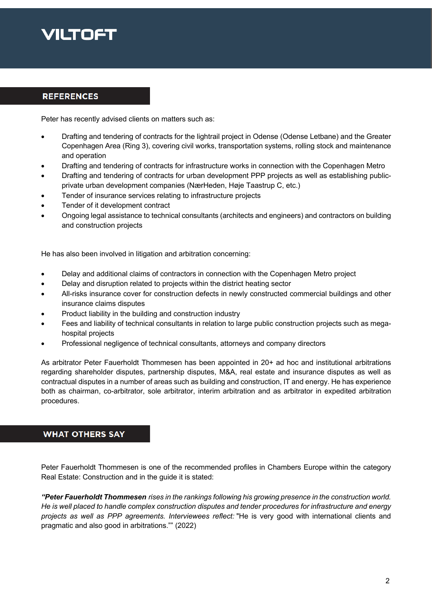# VILTOFT

## **REFERENCES**

Peter has recently advised clients on matters such as:

- Drafting and tendering of contracts for the lightrail project in Odense (Odense Letbane) and the Greater Copenhagen Area (Ring 3), covering civil works, transportation systems, rolling stock and maintenance and operation
- Drafting and tendering of contracts for infrastructure works in connection with the Copenhagen Metro
- Drafting and tendering of contracts for urban development PPP projects as well as establishing publicprivate urban development companies (NærHeden, Høje Taastrup C, etc.)
- Tender of insurance services relating to infrastructure projects
- Tender of it development contract
- Ongoing legal assistance to technical consultants (architects and engineers) and contractors on building and construction projects

He has also been involved in litigation and arbitration concerning:

- Delay and additional claims of contractors in connection with the Copenhagen Metro project
- Delay and disruption related to projects within the district heating sector
- All-risks insurance cover for construction defects in newly constructed commercial buildings and other insurance claims disputes
- Product liability in the building and construction industry
- Fees and liability of technical consultants in relation to large public construction projects such as megahospital projects
- Professional negligence of technical consultants, attorneys and company directors

As arbitrator Peter Fauerholdt Thommesen has been appointed in 20+ ad hoc and institutional arbitrations regarding shareholder disputes, partnership disputes, M&A, real estate and insurance disputes as well as contractual disputes in a number of areas such as building and construction, IT and energy. He has experience both as chairman, co-arbitrator, sole arbitrator, interim arbitration and as arbitrator in expedited arbitration procedures.

# **WHAT OTHERS SAY**

Peter Fauerholdt Thommesen is one of the recommended profiles in Chambers Europe within the category Real Estate: Construction and in the guide it is stated:

*"Peter Fauerholdt Thommesen rises in the rankings following his growing presence in the construction world. He is well placed to handle complex construction disputes and tender procedures for infrastructure and energy projects as well as PPP agreements. Interviewees reflect:* "He is very good with international clients and pragmatic and also good in arbitrations."" (2022)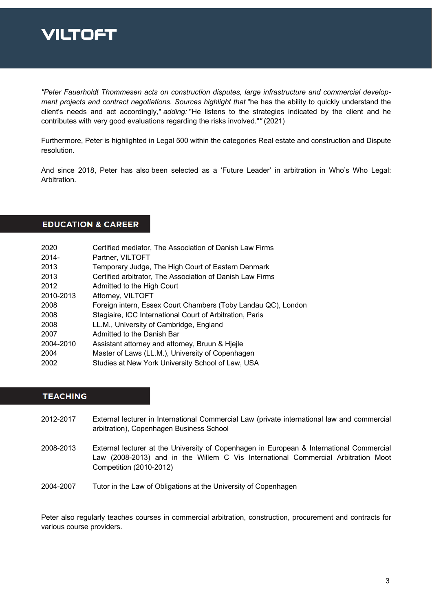

*"Peter Fauerholdt Thommesen acts on construction disputes, large infrastructure and commercial development projects and contract negotiations. Sources highlight that* "he has the ability to quickly understand the client's needs and act accordingly," *adding:* "He listens to the strategies indicated by the client and he contributes with very good evaluations regarding the risks involved."*"* (2021)

Furthermore, Peter is highlighted in Legal 500 within the categories Real estate and construction and Dispute resolution.

And since 2018, Peter has also been selected as a 'Future Leader' in arbitration in Who's Who Legal: Arbitration.

**EDUCATION & CAREER** 

| 2020      | Certified mediator, The Association of Danish Law Firms       |
|-----------|---------------------------------------------------------------|
| 2014-     | Partner, VILTOFT                                              |
| 2013      | Temporary Judge, The High Court of Eastern Denmark            |
| 2013      | Certified arbitrator, The Association of Danish Law Firms     |
| 2012      | Admitted to the High Court                                    |
| 2010-2013 | Attorney, VILTOFT                                             |
| 2008      | Foreign intern, Essex Court Chambers (Toby Landau QC), London |
| 2008      | Stagiaire, ICC International Court of Arbitration, Paris      |
| 2008      | LL.M., University of Cambridge, England                       |
| 2007      | Admitted to the Danish Bar                                    |
| 2004-2010 | Assistant attorney and attorney, Bruun & Hiejle               |
| 2004      | Master of Laws (LL.M.), University of Copenhagen              |
| 2002      | Studies at New York University School of Law, USA             |
|           |                                                               |

### **TEACHING**

- 2012-2017 External lecturer in International Commercial Law (private international law and commercial arbitration), Copenhagen Business School
- 2008-2013 External lecturer at the University of Copenhagen in European & International Commercial Law (2008-2013) and in the Willem C Vis International Commercial Arbitration Moot Competition (2010-2012)
- 2004-2007 Tutor in the Law of Obligations at the University of Copenhagen

Peter also regularly teaches courses in commercial arbitration, construction, procurement and contracts for various course providers.